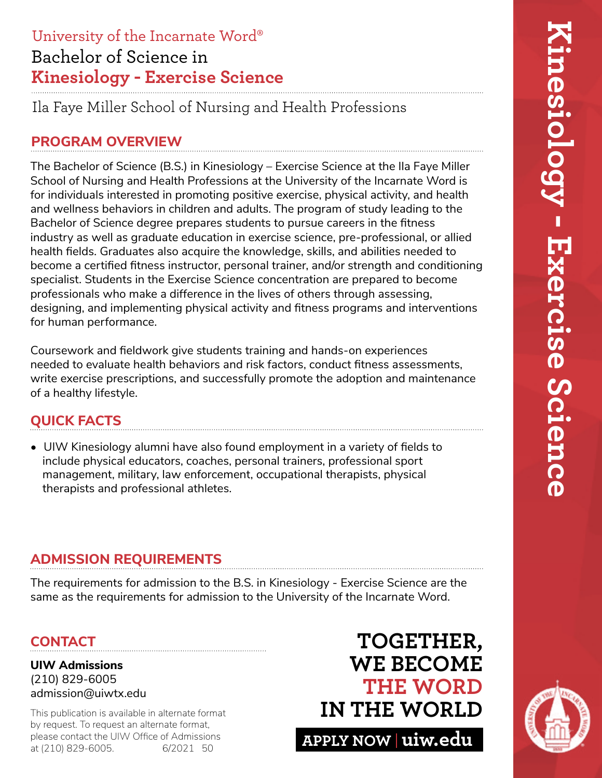# Bachelor of Science in **Kinesiology - Exercise Science** University of the Incarnate Word®

Ila Faye Miller School of Nursing and Health Professions

# **PROGRAM OVERVIEW**

The Bachelor of Science (B.S.) in Kinesiology – Exercise Science at the Ila Faye Miller School of Nursing and Health Professions at the University of the Incarnate Word is for individuals interested in promoting positive exercise, physical activity, and health and wellness behaviors in children and adults. The program of study leading to the Bachelor of Science degree prepares students to pursue careers in the fitness industry as well as graduate education in exercise science, pre-professional, or allied health fields. Graduates also acquire the knowledge, skills, and abilities needed to become a certified fitness instructor, personal trainer, and/or strength and conditioning specialist. Students in the Exercise Science concentration are prepared to become professionals who make a difference in the lives of others through assessing, designing, and implementing physical activity and fitness programs and interventions for human performance.

Coursework and fieldwork give students training and hands-on experiences needed to evaluate health behaviors and risk factors, conduct fitness assessments, write exercise prescriptions, and successfully promote the adoption and maintenance of a healthy lifestyle.

# **QUICK FACTS**

• UIW Kinesiology alumni have also found employment in a variety of fields to include physical educators, coaches, personal trainers, professional sport management, military, law enforcement, occupational therapists, physical therapists and professional athletes.

# **ADMISSION REQUIREMENTS**

The requirements for admission to the B.S. in Kinesiology - Exercise Science are the same as the requirements for admission to the University of the Incarnate Word.

# **CONTACT**

**UIW Admissions** (210) 829-6005 admission@uiwtx.edu

by request. To request an alternate format, please contact the UIW Office of Admissions<br>at (210) 829-6005. 6/2021 50 at (210) 829-6005.

# **TOGETHER, WE BECOME THE WORD** This publication is available in alternate format **IN THE WORLD**

**APPLY NOW uiw.edu**